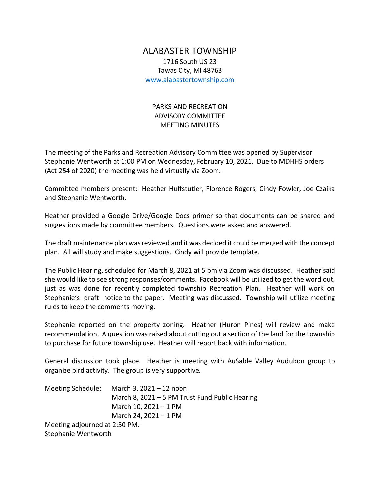## ALABASTER TOWNSHIP 1716 South US 23 Tawas City, MI 48763 [www.alabastertownship.com](http://www.alabastertownship.com/)

## PARKS AND RECREATION ADVISORY COMMITTEE MEETING MINUTES

The meeting of the Parks and Recreation Advisory Committee was opened by Supervisor Stephanie Wentworth at 1:00 PM on Wednesday, February 10, 2021. Due to MDHHS orders (Act 254 of 2020) the meeting was held virtually via Zoom.

Committee members present: Heather Huffstutler, Florence Rogers, Cindy Fowler, Joe Czaika and Stephanie Wentworth.

Heather provided a Google Drive/Google Docs primer so that documents can be shared and suggestions made by committee members. Questions were asked and answered.

The draft maintenance plan was reviewed and it was decided it could be merged with the concept plan. All will study and make suggestions. Cindy will provide template.

The Public Hearing, scheduled for March 8, 2021 at 5 pm via Zoom was discussed. Heather said she would like to see strong responses/comments. Facebook will be utilized to get the word out, just as was done for recently completed township Recreation Plan. Heather will work on Stephanie's draft notice to the paper. Meeting was discussed. Township will utilize meeting rules to keep the comments moving.

Stephanie reported on the property zoning. Heather (Huron Pines) will review and make recommendation. A question was raised about cutting out a section of the land for the township to purchase for future township use. Heather will report back with information.

General discussion took place. Heather is meeting with AuSable Valley Audubon group to organize bird activity. The group is very supportive.

| Meeting Schedule:             | March 3, 2021 - 12 noon                        |
|-------------------------------|------------------------------------------------|
|                               | March 8, 2021 - 5 PM Trust Fund Public Hearing |
|                               | March 10, 2021 - 1 PM                          |
|                               | March 24, 2021 - 1 PM                          |
| Meeting adjourned at 2:50 PM. |                                                |

Stephanie Wentworth